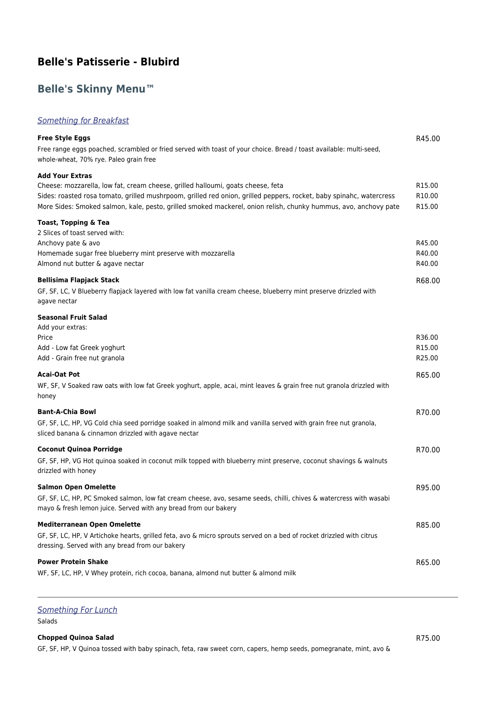# **Belle's Patisserie - Blubird**

# **Belle's Skinny Menu™**

## **Something for Breakfast**

| <b>Free Style Eggs</b>                                                                                                                                                                                                                 | R45.00             |
|----------------------------------------------------------------------------------------------------------------------------------------------------------------------------------------------------------------------------------------|--------------------|
| Free range eggs poached, scrambled or fried served with toast of your choice. Bread / toast available: multi-seed,<br>whole-wheat, 70% rye. Paleo grain free                                                                           |                    |
| <b>Add Your Extras</b>                                                                                                                                                                                                                 |                    |
| Cheese: mozzarella, low fat, cream cheese, grilled halloumi, goats cheese, feta                                                                                                                                                        | R <sub>15.00</sub> |
| Sides: roasted rosa tomato, grilled mushrpoom, grilled red onion, grilled peppers, rocket, baby spinahc, watercress<br>More Sides: Smoked salmon, kale, pesto, grilled smoked mackerel, onion relish, chunky hummus, avo, anchovy pate | R10.00<br>R15.00   |
| Toast, Topping & Tea<br>2 Slices of toast served with:                                                                                                                                                                                 |                    |
| Anchovy pate & avo                                                                                                                                                                                                                     | R45.00             |
| Homemade sugar free blueberry mint preserve with mozzarella                                                                                                                                                                            | R40.00             |
| Almond nut butter & agave nectar                                                                                                                                                                                                       | R40.00             |
| <b>Bellisima Flapjack Stack</b>                                                                                                                                                                                                        | R68.00             |
| GF, SF, LC, V Blueberry flapjack layered with low fat vanilla cream cheese, blueberry mint preserve drizzled with<br>agave nectar                                                                                                      |                    |
| <b>Seasonal Fruit Salad</b>                                                                                                                                                                                                            |                    |
| Add your extras:                                                                                                                                                                                                                       |                    |
| Price                                                                                                                                                                                                                                  | R36.00             |
| Add - Low fat Greek yoghurt                                                                                                                                                                                                            | R15.00             |
| Add - Grain free nut granola                                                                                                                                                                                                           | R25.00             |
| Acai-Oat Pot                                                                                                                                                                                                                           | R65.00             |
| WF, SF, V Soaked raw oats with low fat Greek yoghurt, apple, acai, mint leaves & grain free nut granola drizzled with<br>honey                                                                                                         |                    |
| <b>Bant-A-Chia Bowl</b>                                                                                                                                                                                                                | R70.00             |
| GF, SF, LC, HP, VG Cold chia seed porridge soaked in almond milk and vanilla served with grain free nut granola,<br>sliced banana & cinnamon drizzled with agave nectar                                                                |                    |
| <b>Coconut Quinoa Porridge</b>                                                                                                                                                                                                         | R70.00             |
| GF, SF, HP, VG Hot quinoa soaked in coconut milk topped with blueberry mint preserve, coconut shavings & walnuts<br>drizzled with honey                                                                                                |                    |
| <b>Salmon Open Omelette</b>                                                                                                                                                                                                            | R95.00             |
| GF, SF, LC, HP, PC Smoked salmon, low fat cream cheese, avo, sesame seeds, chilli, chives & watercress with wasabi<br>mayo & fresh lemon juice. Served with any bread from our bakery                                                  |                    |
| <b>Mediterranean Open Omelette</b>                                                                                                                                                                                                     | R85.00             |
| GF, SF, LC, HP, V Artichoke hearts, grilled feta, avo & micro sprouts served on a bed of rocket drizzled with citrus<br>dressing. Served with any bread from our bakery                                                                |                    |
| <b>Power Protein Shake</b>                                                                                                                                                                                                             | R65.00             |
| WF, SF, LC, HP, V Whey protein, rich cocoa, banana, almond nut butter & almond milk                                                                                                                                                    |                    |

## Something For Lunch

Salads

### **Chopped Quinoa Salad** R75.00

GF, SF, HP, V Quinoa tossed with baby spinach, feta, raw sweet corn, capers, hemp seeds, pomegranate, mint, avo &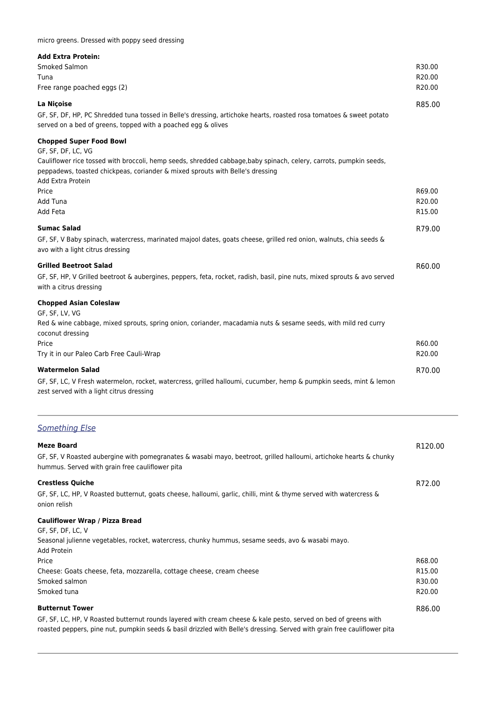#### **Add Extra Protein:**

| AGU LAGU I IVICIII.         |                    |
|-----------------------------|--------------------|
| Smoked Salmon               | R30.00             |
| Tuna                        | R20.00             |
| Free range poached eggs (2) | R <sub>20.00</sub> |
|                             |                    |

#### **La Niçoise** R85.00

GF, SF, DF, HP, PC Shredded tuna tossed in Belle's dressing, artichoke hearts, roasted rosa tomatoes & sweet potato served on a bed of greens, topped with a poached egg & olives

### **Chopped Super Food Bowl**

GF, SF, DF, LC, VG Cauliflower rice tossed with broccoli, hemp seeds, shredded cabbage,baby spinach, celery, carrots, pumpkin seeds, peppadews, toasted chickpeas, coriander & mixed sprouts with Belle's dressing Add Extra Protein Price R69.00 Price R69.00 Price R69.00 Price R69.00 Price R69.00 Price R69.00 Price R69.00 Price R69.00 Price R Add Tuna R20.00 Add Feta R15.00 **Sumac Salad** R79.00 GF, SF, V Baby spinach, watercress, marinated majool dates, goats cheese, grilled red onion, walnuts, chia seeds & avo with a light citrus dressing **Grilled Beetroot Salad** R60.00 GF, SF, HP, V Grilled beetroot & aubergines, peppers, feta, rocket, radish, basil, pine nuts, mixed sprouts & avo served with a citrus dressing **Chopped Asian Coleslaw** GF, SF, LV, VG Red & wine cabbage, mixed sprouts, spring onion, coriander, macadamia nuts & sesame seeds, with mild red curry coconut dressing Price R60.00 Price R60.00 Price R60.00 Price R60.00 Price R60.00 Price R60.00 Price R60.00 Price R60.00 Price R Try it in our Paleo Carb Free Cauli-Wrap R20.00 **Watermelon Salad** R70.00 GF, SF, LC, V Fresh watermelon, rocket, watercress, grilled halloumi, cucumber, hemp & pumpkin seeds, mint & lemon zest served with a light citrus dressing

## Something Else

| <b>Meze Board</b>                                                                                                                                                     | R <sub>120.00</sub> |
|-----------------------------------------------------------------------------------------------------------------------------------------------------------------------|---------------------|
| GF, SF, V Roasted aubergine with pomegranates & wasabi mayo, beetroot, grilled halloumi, artichoke hearts & chunky<br>hummus. Served with grain free cauliflower pita |                     |
| <b>Crestless Quiche</b>                                                                                                                                               | R72.00              |
| GF, SF, LC, HP, V Roasted butternut, goats cheese, halloumi, garlic, chilli, mint & thyme served with watercress &<br>onion relish                                    |                     |
| <b>Cauliflower Wrap / Pizza Bread</b>                                                                                                                                 |                     |
| GF, SF, DF, LC, V                                                                                                                                                     |                     |
| Seasonal julienne vegetables, rocket, watercress, chunky hummus, sesame seeds, avo & wasabi mayo.<br>Add Protein                                                      |                     |
| Price                                                                                                                                                                 | R68.00              |
| Cheese: Goats cheese, feta, mozzarella, cottage cheese, cream cheese                                                                                                  | R <sub>15.00</sub>  |
| Smoked salmon                                                                                                                                                         | R30.00              |
| Smoked tuna                                                                                                                                                           | R <sub>20.00</sub>  |
| <b>Butternut Tower</b>                                                                                                                                                | R86.00              |
| GF, SF, LC, HP, V Roasted butternut rounds layered with cream cheese & kale pesto, served on bed of greens with                                                       |                     |

roasted peppers, pine nut, pumpkin seeds & basil drizzled with Belle's dressing. Served with grain free cauliflower pita